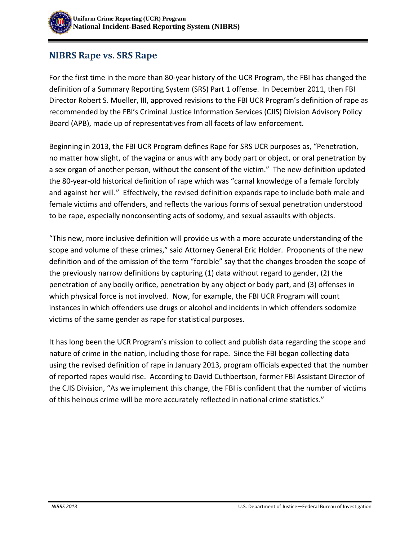

## **NIBRS Rape vs. SRS Rape**

For the first time in the more than 80-year history of the UCR Program, the FBI has changed the definition of a Summary Reporting System (SRS) Part 1 offense. In December 2011, then FBI Director Robert S. Mueller, III, approved revisions to the FBI UCR Program's definition of rape as recommended by the FBI's Criminal Justice Information Services (CJIS) Division Advisory Policy Board (APB), made up of representatives from all facets of law enforcement.

Beginning in 2013, the FBI UCR Program defines Rape for SRS UCR purposes as, "Penetration, no matter how slight, of the vagina or anus with any body part or object, or oral penetration by a sex organ of another person, without the consent of the victim." The new definition updated the 80-year-old historical definition of rape which was "carnal knowledge of a female forcibly and against her will." Effectively, the revised definition expands rape to include both male and female victims and offenders, and reflects the various forms of sexual penetration understood to be rape, especially nonconsenting acts of sodomy, and sexual assaults with objects.

"This new, more inclusive definition will provide us with a more accurate understanding of the scope and volume of these crimes," said Attorney General Eric Holder. Proponents of the new definition and of the omission of the term "forcible" say that the changes broaden the scope of the previously narrow definitions by capturing (1) data without regard to gender, (2) the penetration of any bodily orifice, penetration by any object or body part, and (3) offenses in which physical force is not involved. Now, for example, the FBI UCR Program will count instances in which offenders use drugs or alcohol and incidents in which offenders sodomize victims of the same gender as rape for statistical purposes.

It has long been the UCR Program's mission to collect and publish data regarding the scope and nature of crime in the nation, including those for rape. Since the FBI began collecting data using the revised definition of rape in January 2013, program officials expected that the number of reported rapes would rise. According to David Cuthbertson, former FBI Assistant Director of the CJIS Division, "As we implement this change, the FBI is confident that the number of victims of this heinous crime will be more accurately reflected in national crime statistics."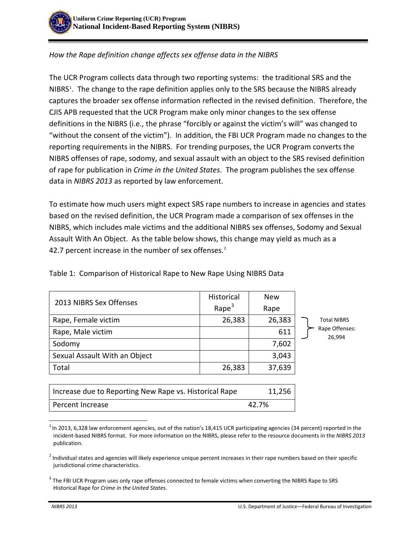

## *How the Rape definition change affects sex offense data in the NIBRS*

The UCR Program collects data through two reporting systems: the traditional SRS and the NIBRS<sup>[1](#page-1-0)</sup>. The change to the rape definition applies only to the SRS because the NIBRS already captures the broader sex offense information reflected in the revised definition. Therefore, the CJIS APB requested that the UCR Program make only minor changes to the sex offense definitions in the NIBRS (i.e., the phrase "forcibly or against the victim's will" was changed to "without the consent of the victim"). In addition, the FBI UCR Program made no changes to the reporting requirements in the NIBRS. For trending purposes, the UCR Program converts the NIBRS offenses of rape, sodomy, and sexual assault with an object to the SRS revised definition of rape for publication in *Crime in the United States*. The program publishes the sex offense data in *NIBRS 2013* as reported by law enforcement.

To estimate how much users might expect SRS rape numbers to increase in agencies and states based on the revised definition, the UCR Program made a comparison of sex offenses in the NIBRS, which includes male victims and the additional NIBRS sex offenses, Sodomy and Sexual Assault With An Object. As the table below shows, this change may yield as much as a 4[2](#page-1-1).7 percent increase in the number of sex offenses.<sup>2</sup>

| 2013 NIBRS Sex Offenses                                | <b>Historical</b> | <b>New</b> |                                                |
|--------------------------------------------------------|-------------------|------------|------------------------------------------------|
|                                                        | Rape $3$          | Rape       | <b>Total NIBRS</b><br>Rape Offenses:<br>26,994 |
| Rape, Female victim                                    | 26,383            | 26,383     |                                                |
| Rape, Male victim                                      |                   | 611        |                                                |
| Sodomy                                                 |                   | 7,602      |                                                |
| Sexual Assault With an Object                          |                   | 3,043      |                                                |
| Total                                                  | 26,383            | 37,639     |                                                |
|                                                        |                   |            |                                                |
| Increase due to Reporting New Rape vs. Historical Rape |                   | 11,256     |                                                |
| Percent Increase                                       | 42.7%             |            |                                                |

Table 1: Comparison of Historical Rape to New Rape Using NIBRS Data

 $\overline{\phantom{a}}$ 

<span id="page-1-0"></span> $^1$ In 2013, 6,328 law enforcement agencies, out of the nation's 18,415 UCR participating agencies (34 percent) reported in the incident-based NIBRS format. For more information on the NIBRS, please refer to the resource documents in the *NIBRS 2013* publication.

<span id="page-1-1"></span><sup>&</sup>lt;sup>2</sup> Individual states and agencies will likely experience unique percent increases in their rape numbers based on their specific jurisdictional crime characteristics.

<span id="page-1-2"></span><sup>&</sup>lt;sup>3</sup> The FBI UCR Program uses only rape offenses connected to female victims when converting the NIBRS Rape to SRS Historical Rape for *Crime in the United States*.